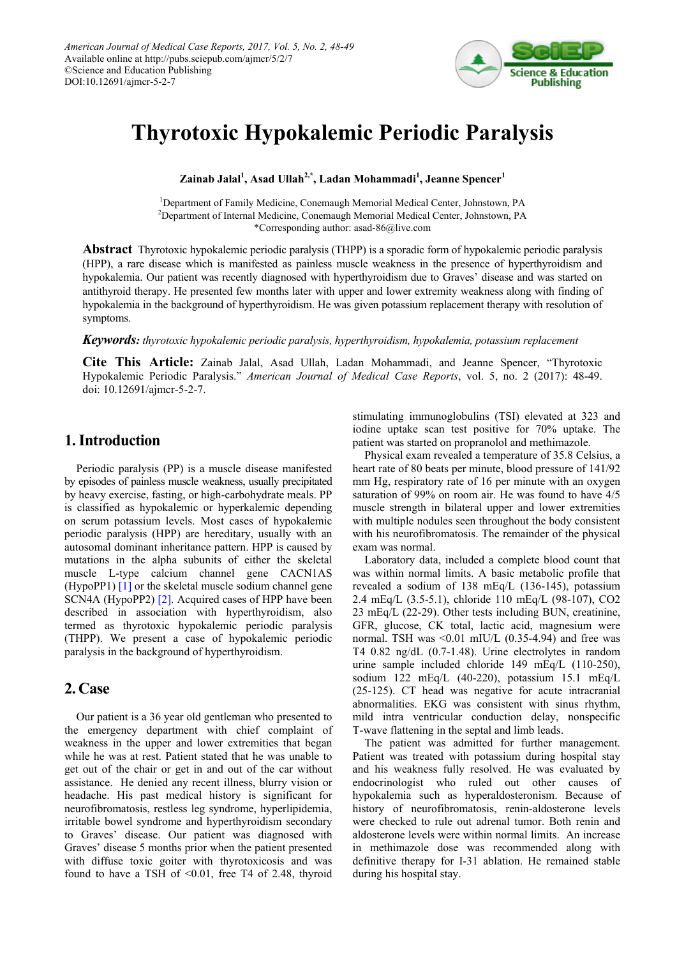

# **Thyrotoxic Hypokalemic Periodic Paralysis**

**Zainab Jalal1 , Asad Ullah2,\*, Ladan Mohammadi1 , Jeanne Spencer1**

<sup>1</sup>Department of Family Medicine, Conemaugh Memorial Medical Center, Johnstown, PA <sup>2</sup>Department of Internal Medicine, Conemaugh Memorial Medical Center, Johnstown, PA \*Corresponding author: asad-86@live.com

**Abstract** Thyrotoxic hypokalemic periodic paralysis (THPP) is a sporadic form of hypokalemic periodic paralysis (HPP), a rare disease which is manifested as painless muscle weakness in the presence of hyperthyroidism and hypokalemia. Our patient was recently diagnosed with hyperthyroidism due to Graves' disease and was started on antithyroid therapy. He presented few months later with upper and lower extremity weakness along with finding of hypokalemia in the background of hyperthyroidism. He was given potassium replacement therapy with resolution of symptoms.

*Keywords: thyrotoxic hypokalemic periodic paralysis, hyperthyroidism, hypokalemia, potassium replacement*

**Cite This Article:** Zainab Jalal, Asad Ullah, Ladan Mohammadi, and Jeanne Spencer, "Thyrotoxic Hypokalemic Periodic Paralysis." *American Journal of Medical Case Reports*, vol. 5, no. 2 (2017): 48-49. doi: 10.12691/ajmcr-5-2-7.

## **1. Introduction**

Periodic paralysis (PP) is a muscle disease manifested by episodes of painless muscle weakness, usually precipitated by heavy exercise, fasting, or high-carbohydrate meals. PP is classified as hypokalemic or hyperkalemic depending on serum potassium levels. Most cases of hypokalemic periodic paralysis (HPP) are hereditary, usually with an autosomal dominant inheritance pattern. HPP is caused by mutations in the alpha subunits of either the skeletal muscle L-type calcium channel gene CACN1AS (HypoPP1) [\[1\]](#page-1-0) or the skeletal muscle sodium channel gene SCN4A (HypoPP2) [\[2\].](#page-1-1) Acquired cases of HPP have been described in association with hyperthyroidism, also termed as thyrotoxic hypokalemic periodic paralysis (THPP). We present a case of hypokalemic periodic paralysis in the background of hyperthyroidism.

## **2. Case**

Our patient is a 36 year old gentleman who presented to the emergency department with chief complaint of weakness in the upper and lower extremities that began while he was at rest. Patient stated that he was unable to get out of the chair or get in and out of the car without assistance. He denied any recent illness, blurry vision or headache. His past medical history is significant for neurofibromatosis, restless leg syndrome, hyperlipidemia, irritable bowel syndrome and hyperthyroidism secondary to Graves' disease. Our patient was diagnosed with Graves' disease 5 months prior when the patient presented with diffuse toxic goiter with thyrotoxicosis and was found to have a TSH of  $\leq 0.01$ , free T4 of 2.48, thyroid stimulating immunoglobulins (TSI) elevated at 323 and iodine uptake scan test positive for 70% uptake. The patient was started on propranolol and methimazole.

Physical exam revealed a temperature of 35.8 Celsius, a heart rate of 80 beats per minute, blood pressure of 141/92 mm Hg, respiratory rate of 16 per minute with an oxygen saturation of 99% on room air. He was found to have 4/5 muscle strength in bilateral upper and lower extremities with multiple nodules seen throughout the body consistent with his neurofibromatosis. The remainder of the physical exam was normal.

Laboratory data, included a complete blood count that was within normal limits. A basic metabolic profile that revealed a sodium of 138 mEq/L (136-145), potassium 2.4 mEq/L (3.5-5.1), chloride 110 mEq/L (98-107), CO2 23 mEq/L (22-29). Other tests including BUN, creatinine, GFR, glucose, CK total, lactic acid, magnesium were normal. TSH was  $\leq 0.01$  mIU/L (0.35-4.94) and free was T4 0.82 ng/dL (0.7-1.48). Urine electrolytes in random urine sample included chloride 149 mEq/L (110-250), sodium 122 mEq/L (40-220), potassium 15.1 mEq/L (25-125). CT head was negative for acute intracranial abnormalities. EKG was consistent with sinus rhythm, mild intra ventricular conduction delay, nonspecific T-wave flattening in the septal and limb leads.

The patient was admitted for further management. Patient was treated with potassium during hospital stay and his weakness fully resolved. He was evaluated by endocrinologist who ruled out other causes of hypokalemia such as hyperaldosteronism. Because of history of neurofibromatosis, renin-aldosterone levels were checked to rule out adrenal tumor. Both renin and aldosterone levels were within normal limits. An increase in methimazole dose was recommended along with definitive therapy for I-31 ablation. He remained stable during his hospital stay.